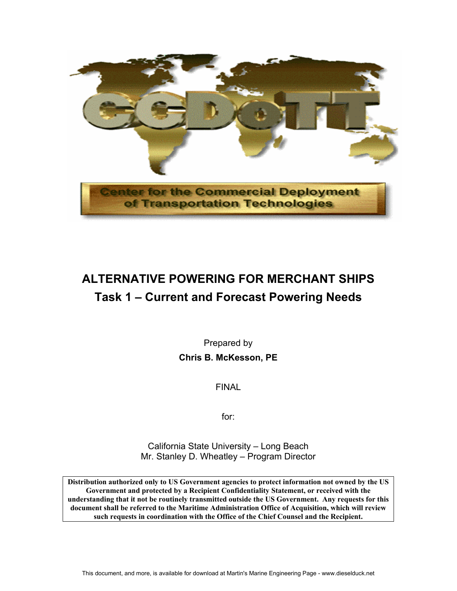

# **ALTERNATIVE POWERING FOR MERCHANT SHIPS Task 1 – Current and Forecast Powering Needs**

Prepared by **Chris B. McKesson, PE** 

FINAL

for:

California State University – Long Beach Mr. Stanley D. Wheatley – Program Director

**Distribution authorized only to US Government agencies to protect information not owned by the US Government and protected by a Recipient Confidentiality Statement, or received with the understanding that it not be routinely transmitted outside the US Government. Any requests for this document shall be referred to the Maritime Administration Office of Acquisition, which will review such requests in coordination with the Office of the Chief Counsel and the Recipient.**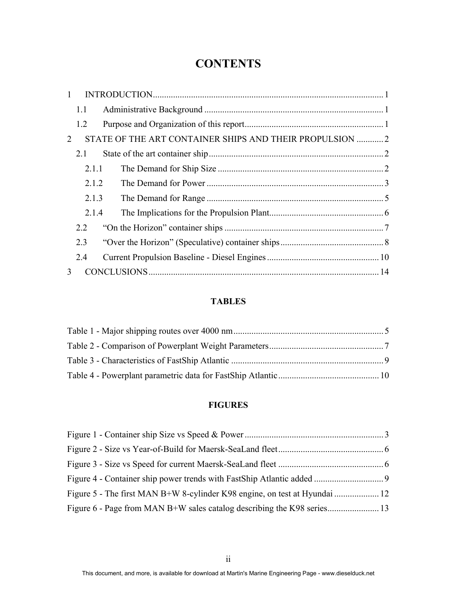## **CONTENTS**

| $\mathbf{1}$  |       |                                                          |  |
|---------------|-------|----------------------------------------------------------|--|
|               | 1.1   |                                                          |  |
|               | 1.2   |                                                          |  |
| 2             |       | STATE OF THE ART CONTAINER SHIPS AND THEIR PROPULSION  2 |  |
|               | 2.1   |                                                          |  |
|               | 2.1.1 |                                                          |  |
|               | 2.1.2 |                                                          |  |
|               | 2.1.3 |                                                          |  |
|               | 2.1.4 |                                                          |  |
|               | 2.2   |                                                          |  |
|               | 2.3   |                                                          |  |
|               | 2.4   |                                                          |  |
| $\mathcal{E}$ |       |                                                          |  |

### **TABLES**

#### **FIGURES**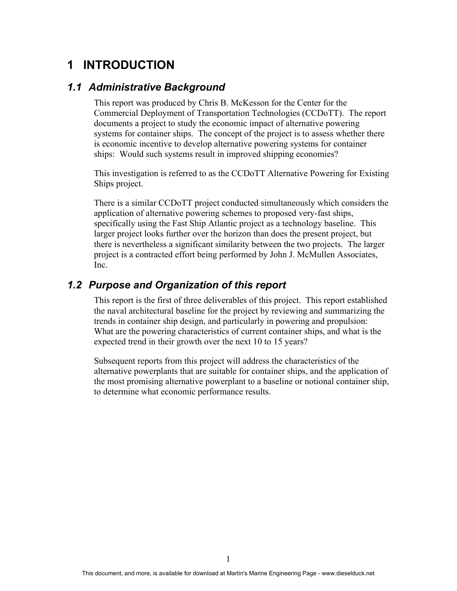## **1 INTRODUCTION**

#### *1.1 Administrative Background*

This report was produced by Chris B. McKesson for the Center for the Commercial Deployment of Transportation Technologies (CCDoTT). The report documents a project to study the economic impact of alternative powering systems for container ships. The concept of the project is to assess whether there is economic incentive to develop alternative powering systems for container ships: Would such systems result in improved shipping economies?

This investigation is referred to as the CCDoTT Alternative Powering for Existing Ships project.

There is a similar CCDoTT project conducted simultaneously which considers the application of alternative powering schemes to proposed very-fast ships, specifically using the Fast Ship Atlantic project as a technology baseline. This larger project looks further over the horizon than does the present project, but there is nevertheless a significant similarity between the two projects. The larger project is a contracted effort being performed by John J. McMullen Associates, Inc.

#### *1.2 Purpose and Organization of this report*

This report is the first of three deliverables of this project. This report established the naval architectural baseline for the project by reviewing and summarizing the trends in container ship design, and particularly in powering and propulsion: What are the powering characteristics of current container ships, and what is the expected trend in their growth over the next 10 to 15 years?

Subsequent reports from this project will address the characteristics of the alternative powerplants that are suitable for container ships, and the application of the most promising alternative powerplant to a baseline or notional container ship, to determine what economic performance results.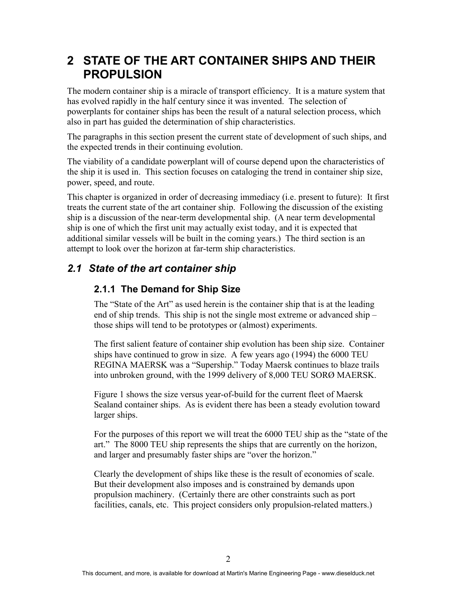## **2 STATE OF THE ART CONTAINER SHIPS AND THEIR PROPULSION**

The modern container ship is a miracle of transport efficiency. It is a mature system that has evolved rapidly in the half century since it was invented. The selection of powerplants for container ships has been the result of a natural selection process, which also in part has guided the determination of ship characteristics.

The paragraphs in this section present the current state of development of such ships, and the expected trends in their continuing evolution.

The viability of a candidate powerplant will of course depend upon the characteristics of the ship it is used in. This section focuses on cataloging the trend in container ship size, power, speed, and route.

This chapter is organized in order of decreasing immediacy (i.e. present to future): It first treats the current state of the art container ship. Following the discussion of the existing ship is a discussion of the near-term developmental ship. (A near term developmental ship is one of which the first unit may actually exist today, and it is expected that additional similar vessels will be built in the coming years.) The third section is an attempt to look over the horizon at far-term ship characteristics.

### *2.1 State of the art container ship*

### **2.1.1 The Demand for Ship Size**

The "State of the Art" as used herein is the container ship that is at the leading end of ship trends. This ship is not the single most extreme or advanced ship – those ships will tend to be prototypes or (almost) experiments.

The first salient feature of container ship evolution has been ship size. Container ships have continued to grow in size. A few years ago (1994) the 6000 TEU REGINA MAERSK was a "Supership." Today Maersk continues to blaze trails into unbroken ground, with the 1999 delivery of 8,000 TEU SORØ MAERSK.

Figure 1 shows the size versus year-of-build for the current fleet of Maersk Sealand container ships. As is evident there has been a steady evolution toward larger ships.

For the purposes of this report we will treat the 6000 TEU ship as the "state of the art." The 8000 TEU ship represents the ships that are currently on the horizon, and larger and presumably faster ships are "over the horizon."

Clearly the development of ships like these is the result of economies of scale. But their development also imposes and is constrained by demands upon propulsion machinery. (Certainly there are other constraints such as port facilities, canals, etc. This project considers only propulsion-related matters.)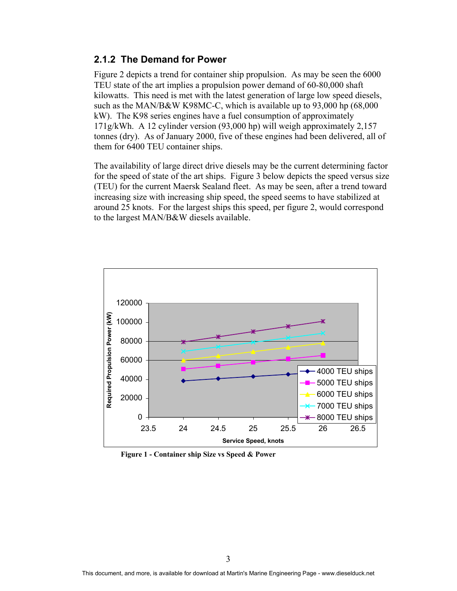#### **2.1.2 The Demand for Power**

Figure 2 depicts a trend for container ship propulsion. As may be seen the 6000 TEU state of the art implies a propulsion power demand of 60-80,000 shaft kilowatts. This need is met with the latest generation of large low speed diesels, such as the MAN/B&W K98MC-C, which is available up to 93,000 hp (68,000 kW). The K98 series engines have a fuel consumption of approximately 171g/kWh. A 12 cylinder version (93,000 hp) will weigh approximately 2,157 tonnes (dry). As of January 2000, five of these engines had been delivered, all of them for 6400 TEU container ships.

The availability of large direct drive diesels may be the current determining factor for the speed of state of the art ships. Figure 3 below depicts the speed versus size (TEU) for the current Maersk Sealand fleet. As may be seen, after a trend toward increasing size with increasing ship speed, the speed seems to have stabilized at around 25 knots. For the largest ships this speed, per figure 2, would correspond to the largest MAN/B&W diesels available.



**Figure 1 - Container ship Size vs Speed & Power**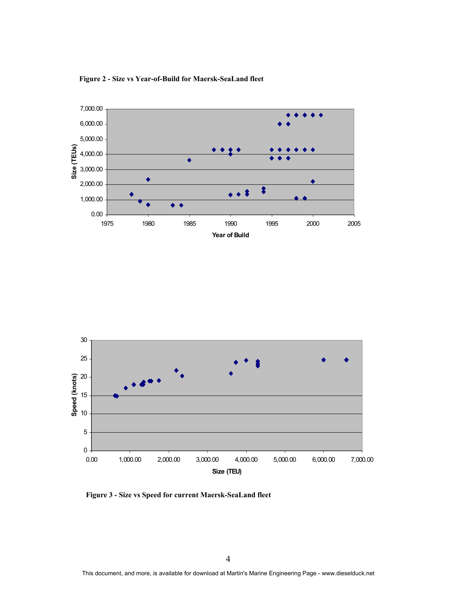

**Figure 2 - Size vs Year-of-Build for Maersk-SeaLand fleet** 



**Figure 3 - Size vs Speed for current Maersk-SeaLand fleet**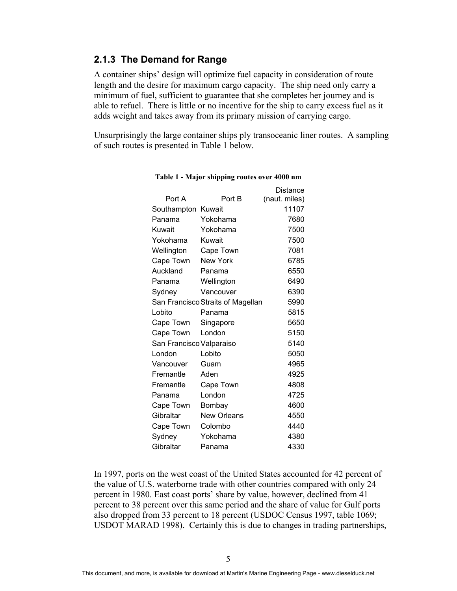#### **2.1.3 The Demand for Range**

A container ships' design will optimize fuel capacity in consideration of route length and the desire for maximum cargo capacity. The ship need only carry a minimum of fuel, sufficient to guarantee that she completes her journey and is able to refuel. There is little or no incentive for the ship to carry excess fuel as it adds weight and takes away from its primary mission of carrying cargo.

Unsurprisingly the large container ships ply transoceanic liner routes. A sampling of such routes is presented in Table 1 below.

 $\mathbb{R}^{n}$ 

|                                       | Distance           |  |
|---------------------------------------|--------------------|--|
| Port B                                | (naut. miles)      |  |
|                                       | 11107              |  |
| Yokohama                              | 7680               |  |
| Yokohama                              | 7500               |  |
| Kuwait                                | 7500               |  |
| Cape Town                             | 7081               |  |
| <b>New York</b>                       | 6785               |  |
| Panama                                | 6550               |  |
| Wellington                            | 6490               |  |
| Vancouver                             | 6390               |  |
| San Francisco Straits of Magellan     | 5990               |  |
| Panama                                | 5815               |  |
| Singapore                             | 5650               |  |
| London                                | 5150               |  |
| Cape Town<br>San Francisco Valparaiso |                    |  |
| Lobito                                | 5050               |  |
| Guam                                  | 4965               |  |
| Aden                                  | 4925               |  |
| Cape Town                             | 4808               |  |
| London                                | 4725               |  |
| Bombay                                | 4600               |  |
| <b>New Orleans</b>                    | 4550               |  |
| Colombo                               | 4440               |  |
| Yokohama                              | 4380               |  |
| Panama                                | 4330               |  |
|                                       | Southampton Kuwait |  |

#### **Table 1 - Major shipping routes over 4000 nm**

In 1997, ports on the west coast of the United States accounted for 42 percent of the value of U.S. waterborne trade with other countries compared with only 24 percent in 1980. East coast ports' share by value, however, declined from 41 percent to 38 percent over this same period and the share of value for Gulf ports also dropped from 33 percent to 18 percent (USDOC Census 1997, table 1069; USDOT MARAD 1998). Certainly this is due to changes in trading partnerships,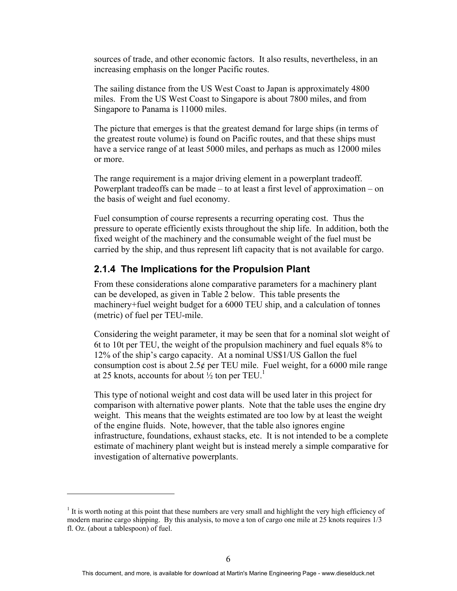sources of trade, and other economic factors. It also results, nevertheless, in an increasing emphasis on the longer Pacific routes.

The sailing distance from the US West Coast to Japan is approximately 4800 miles. From the US West Coast to Singapore is about 7800 miles, and from Singapore to Panama is 11000 miles.

The picture that emerges is that the greatest demand for large ships (in terms of the greatest route volume) is found on Pacific routes, and that these ships must have a service range of at least 5000 miles, and perhaps as much as 12000 miles or more.

The range requirement is a major driving element in a powerplant tradeoff. Powerplant tradeoffs can be made – to at least a first level of approximation – on the basis of weight and fuel economy.

Fuel consumption of course represents a recurring operating cost. Thus the pressure to operate efficiently exists throughout the ship life. In addition, both the fixed weight of the machinery and the consumable weight of the fuel must be carried by the ship, and thus represent lift capacity that is not available for cargo.

#### **2.1.4 The Implications for the Propulsion Plant**

From these considerations alone comparative parameters for a machinery plant can be developed, as given in Table 2 below. This table presents the machinery+fuel weight budget for a 6000 TEU ship, and a calculation of tonnes (metric) of fuel per TEU-mile.

Considering the weight parameter, it may be seen that for a nominal slot weight of 6t to 10t per TEU, the weight of the propulsion machinery and fuel equals 8% to 12% of the ship's cargo capacity. At a nominal US\$1/US Gallon the fuel consumption cost is about 2.5 $\phi$  per TEU mile. Fuel weight, for a 6000 mile range at 25 knots, accounts for about  $\frac{1}{2}$  ton per TEU.<sup>1</sup>

This type of notional weight and cost data will be used later in this project for comparison with alternative power plants. Note that the table uses the engine dry weight. This means that the weights estimated are too low by at least the weight of the engine fluids. Note, however, that the table also ignores engine infrastructure, foundations, exhaust stacks, etc. It is not intended to be a complete estimate of machinery plant weight but is instead merely a simple comparative for investigation of alternative powerplants.

1

 $<sup>1</sup>$  It is worth noting at this point that these numbers are very small and highlight the very high efficiency of</sup> modern marine cargo shipping. By this analysis, to move a ton of cargo one mile at 25 knots requires 1/3 fl. Oz. (about a tablespoon) of fuel.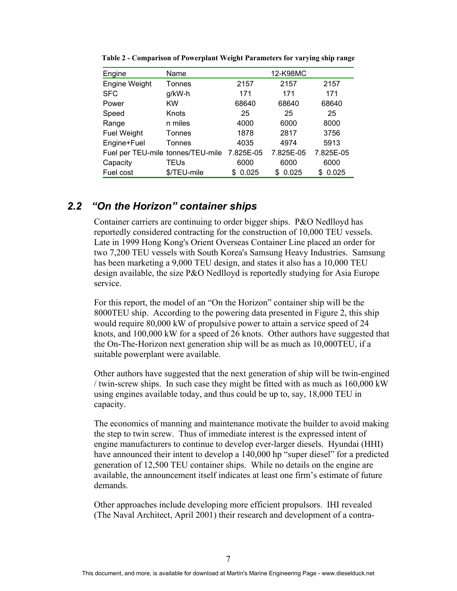| Engine                            | Name        |           | 12-K98MC   |            |
|-----------------------------------|-------------|-----------|------------|------------|
| Engine Weight                     | Tonnes      | 2157      | 2157       | 2157       |
| <b>SFC</b>                        | g/kW-h      | 171       | 171        | 171        |
| Power                             | <b>KW</b>   | 68640     | 68640      | 68640      |
| Speed                             | Knots       | 25        | 25         | 25         |
| Range                             | n miles     | 4000      | 6000       | 8000       |
| <b>Fuel Weight</b>                | Tonnes      | 1878      | 2817       | 3756       |
| Engine+Fuel                       | Tonnes      | 4035      | 4974       | 5913       |
| Fuel per TEU-mile tonnes/TEU-mile |             | 7.825E-05 | 7.825E-05  | 7.825E-05  |
| Capacity                          | TEUs        | 6000      | 6000       | 6000       |
| Fuel cost                         | \$/TEU-mile | 0.025     | 0.025<br>S | 0.025<br>S |

**Table 2 - Comparison of Powerplant Weight Parameters for varying ship range** 

### *2.2 "On the Horizon" container ships*

Container carriers are continuing to order bigger ships. P&O Nedlloyd has reportedly considered contracting for the construction of 10,000 TEU vessels. Late in 1999 Hong Kong's Orient Overseas Container Line placed an order for two 7,200 TEU vessels with South Korea's Samsung Heavy Industries. Samsung has been marketing a 9,000 TEU design, and states it also has a 10,000 TEU design available, the size P&O Nedlloyd is reportedly studying for Asia Europe service.

For this report, the model of an "On the Horizon" container ship will be the 8000TEU ship. According to the powering data presented in Figure 2, this ship would require 80,000 kW of propulsive power to attain a service speed of 24 knots, and 100,000 kW for a speed of 26 knots. Other authors have suggested that the On-The-Horizon next generation ship will be as much as 10,000TEU, if a suitable powerplant were available.

Other authors have suggested that the next generation of ship will be twin-engined / twin-screw ships. In such case they might be fitted with as much as 160,000 kW using engines available today, and thus could be up to, say, 18,000 TEU in capacity.

The economics of manning and maintenance motivate the builder to avoid making the step to twin screw. Thus of immediate interest is the expressed intent of engine manufacturers to continue to develop ever-larger diesels. Hyundai (HHI) have announced their intent to develop a 140,000 hp "super diesel" for a predicted generation of 12,500 TEU container ships. While no details on the engine are available, the announcement itself indicates at least one firm's estimate of future demands.

Other approaches include developing more efficient propulsors. IHI revealed (The Naval Architect, April 2001) their research and development of a contra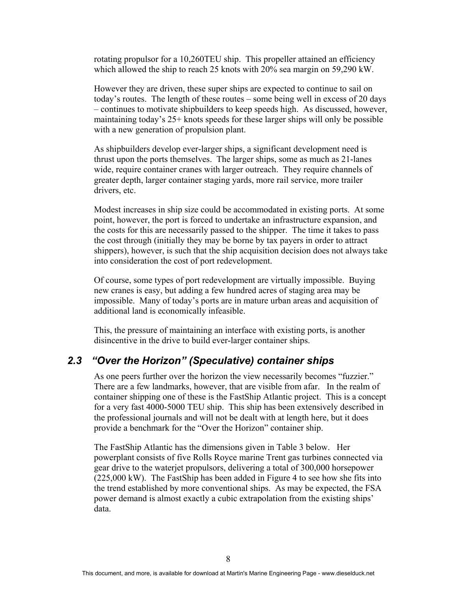rotating propulsor for a 10,260TEU ship. This propeller attained an efficiency which allowed the ship to reach 25 knots with 20% sea margin on 59,290 kW.

However they are driven, these super ships are expected to continue to sail on today's routes. The length of these routes – some being well in excess of 20 days – continues to motivate shipbuilders to keep speeds high. As discussed, however, maintaining today's 25+ knots speeds for these larger ships will only be possible with a new generation of propulsion plant.

As shipbuilders develop ever-larger ships, a significant development need is thrust upon the ports themselves. The larger ships, some as much as 21-lanes wide, require container cranes with larger outreach. They require channels of greater depth, larger container staging yards, more rail service, more trailer drivers, etc.

Modest increases in ship size could be accommodated in existing ports. At some point, however, the port is forced to undertake an infrastructure expansion, and the costs for this are necessarily passed to the shipper. The time it takes to pass the cost through (initially they may be borne by tax payers in order to attract shippers), however, is such that the ship acquisition decision does not always take into consideration the cost of port redevelopment.

Of course, some types of port redevelopment are virtually impossible. Buying new cranes is easy, but adding a few hundred acres of staging area may be impossible. Many of today's ports are in mature urban areas and acquisition of additional land is economically infeasible.

This, the pressure of maintaining an interface with existing ports, is another disincentive in the drive to build ever-larger container ships.

#### *2.3 "Over the Horizon" (Speculative) container ships*

As one peers further over the horizon the view necessarily becomes "fuzzier." There are a few landmarks, however, that are visible from afar. In the realm of container shipping one of these is the FastShip Atlantic project. This is a concept for a very fast 4000-5000 TEU ship. This ship has been extensively described in the professional journals and will not be dealt with at length here, but it does provide a benchmark for the "Over the Horizon" container ship.

The FastShip Atlantic has the dimensions given in Table 3 below. Her powerplant consists of five Rolls Royce marine Trent gas turbines connected via gear drive to the waterjet propulsors, delivering a total of 300,000 horsepower (225,000 kW). The FastShip has been added in Figure 4 to see how she fits into the trend established by more conventional ships. As may be expected, the FSA power demand is almost exactly a cubic extrapolation from the existing ships' data.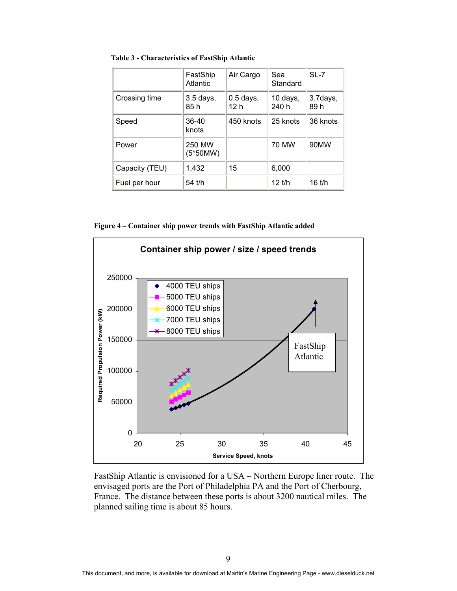**Table 3 - Characteristics of FastShip Atlantic** 

|                | FastShip<br><b>Atlantic</b> | Air Cargo           | Sea<br>Standard   | $SL-7$           |
|----------------|-----------------------------|---------------------|-------------------|------------------|
| Crossing time  | $3.5$ days,<br>85 h         | $0.5$ days,<br>12 h | 10 days,<br>240 h | 3.7days,<br>89 h |
| Speed          | 36-40<br>knots              | 450 knots           | 25 knots          | 36 knots         |
| Power          | 250 MW<br>(5*50MW)          |                     | <b>70 MW</b>      | 90MW             |
| Capacity (TEU) | 1,432                       | 15                  | 6,000             |                  |
| Fuel per hour  | 54 t/h                      |                     | $12$ t/h          | $16$ t/h         |

**Figure 4 – Container ship power trends with FastShip Atlantic added** 



FastShip Atlantic is envisioned for a USA – Northern Europe liner route. The envisaged ports are the Port of Philadelphia PA and the Port of Cherbourg, France. The distance between these ports is about 3200 nautical miles. The planned sailing time is about 85 hours.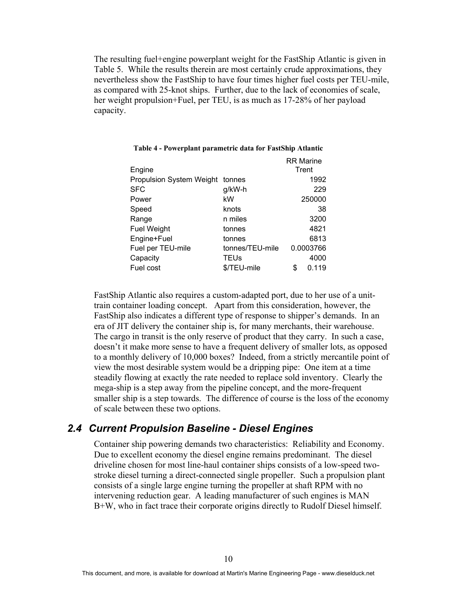The resulting fuel+engine powerplant weight for the FastShip Atlantic is given in Table 5. While the results therein are most certainly crude approximations, they nevertheless show the FastShip to have four times higher fuel costs per TEU-mile, as compared with 25-knot ships. Further, due to the lack of economies of scale, her weight propulsion+Fuel, per TEU, is as much as 17-28% of her payload capacity.

|                                 |                 |   | <b>RR Marine</b> |
|---------------------------------|-----------------|---|------------------|
| Engine                          |                 |   | Trent            |
| <b>Propulsion System Weight</b> | tonnes          |   | 1992             |
| <b>SFC</b>                      | g/kW-h          |   | 229              |
| Power                           | kW              |   | 250000           |
| Speed                           | knots           |   | 38               |
| Range                           | n miles         |   | 3200             |
| <b>Fuel Weight</b>              | tonnes          |   | 4821             |
| Engine+Fuel                     | tonnes          |   | 6813             |
| Fuel per TEU-mile               | tonnes/TEU-mile |   | 0.0003766        |
| Capacity                        | TEUs            |   | 4000             |
| Fuel cost                       | \$/TEU-mile     | S | 0.119            |

#### **Table 4 - Powerplant parametric data for FastShip Atlantic**

FastShip Atlantic also requires a custom-adapted port, due to her use of a unittrain container loading concept. Apart from this consideration, however, the FastShip also indicates a different type of response to shipper's demands. In an era of JIT delivery the container ship is, for many merchants, their warehouse. The cargo in transit is the only reserve of product that they carry. In such a case, doesn't it make more sense to have a frequent delivery of smaller lots, as opposed to a monthly delivery of 10,000 boxes? Indeed, from a strictly mercantile point of view the most desirable system would be a dripping pipe: One item at a time steadily flowing at exactly the rate needed to replace sold inventory. Clearly the mega-ship is a step away from the pipeline concept, and the more-frequent smaller ship is a step towards. The difference of course is the loss of the economy of scale between these two options.

#### *2.4 Current Propulsion Baseline - Diesel Engines*

Container ship powering demands two characteristics: Reliability and Economy. Due to excellent economy the diesel engine remains predominant. The diesel driveline chosen for most line-haul container ships consists of a low-speed twostroke diesel turning a direct-connected single propeller. Such a propulsion plant consists of a single large engine turning the propeller at shaft RPM with no intervening reduction gear. A leading manufacturer of such engines is MAN B+W, who in fact trace their corporate origins directly to Rudolf Diesel himself.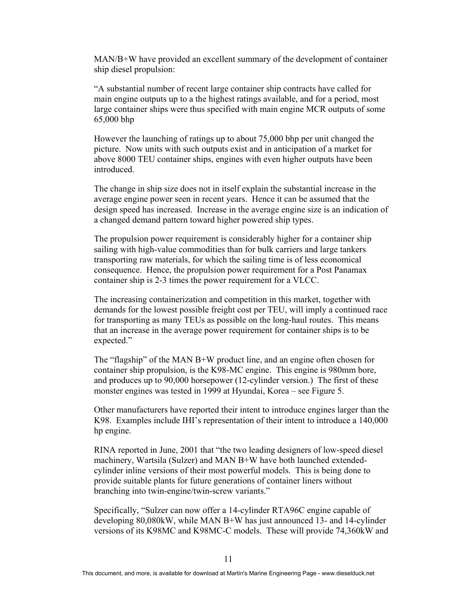MAN/B+W have provided an excellent summary of the development of container ship diesel propulsion:

"A substantial number of recent large container ship contracts have called for main engine outputs up to a the highest ratings available, and for a period, most large container ships were thus specified with main engine MCR outputs of some 65,000 bhp

However the launching of ratings up to about 75,000 bhp per unit changed the picture. Now units with such outputs exist and in anticipation of a market for above 8000 TEU container ships, engines with even higher outputs have been introduced.

The change in ship size does not in itself explain the substantial increase in the average engine power seen in recent years. Hence it can be assumed that the design speed has increased. Increase in the average engine size is an indication of a changed demand pattern toward higher powered ship types.

The propulsion power requirement is considerably higher for a container ship sailing with high-value commodities than for bulk carriers and large tankers transporting raw materials, for which the sailing time is of less economical consequence. Hence, the propulsion power requirement for a Post Panamax container ship is 2-3 times the power requirement for a VLCC.

The increasing containerization and competition in this market, together with demands for the lowest possible freight cost per TEU, will imply a continued race for transporting as many TEUs as possible on the long-haul routes. This means that an increase in the average power requirement for container ships is to be expected."

The "flagship" of the MAN B+W product line, and an engine often chosen for container ship propulsion, is the K98-MC engine. This engine is 980mm bore, and produces up to 90,000 horsepower (12-cylinder version.) The first of these monster engines was tested in 1999 at Hyundai, Korea – see Figure 5.

Other manufacturers have reported their intent to introduce engines larger than the K98. Examples include IHI's representation of their intent to introduce a 140,000 hp engine.

RINA reported in June, 2001 that "the two leading designers of low-speed diesel machinery, Wartsila (Sulzer) and MAN B+W have both launched extendedcylinder inline versions of their most powerful models. This is being done to provide suitable plants for future generations of container liners without branching into twin-engine/twin-screw variants."

Specifically, "Sulzer can now offer a 14-cylinder RTA96C engine capable of developing 80,080kW, while MAN B+W has just announced 13- and 14-cylinder versions of its K98MC and K98MC-C models. These will provide 74,360kW and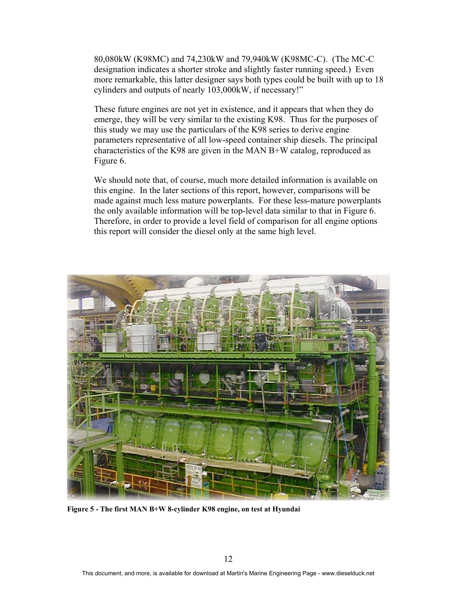80,080kW (K98MC) and 74,230kW and 79,940kW (K98MC-C). (The MC-C designation indicates a shorter stroke and slightly faster running speed.) Even more remarkable, this latter designer says both types could be built with up to 18 cylinders and outputs of nearly 103,000kW, if necessary!"

These future engines are not yet in existence, and it appears that when they do emerge, they will be very similar to the existing K98. Thus for the purposes of this study we may use the particulars of the K98 series to derive engine parameters representative of all low-speed container ship diesels. The principal characteristics of the K98 are given in the MAN B+W catalog, reproduced as Figure 6.

We should note that, of course, much more detailed information is available on this engine. In the later sections of this report, however, comparisons will be made against much less mature powerplants. For these less-mature powerplants the only available information will be top-level data similar to that in Figure 6. Therefore, in order to provide a level field of comparison for all engine options this report will consider the diesel only at the same high level.



**Figure 5 - The first MAN B+W 8-cylinder K98 engine, on test at Hyundai**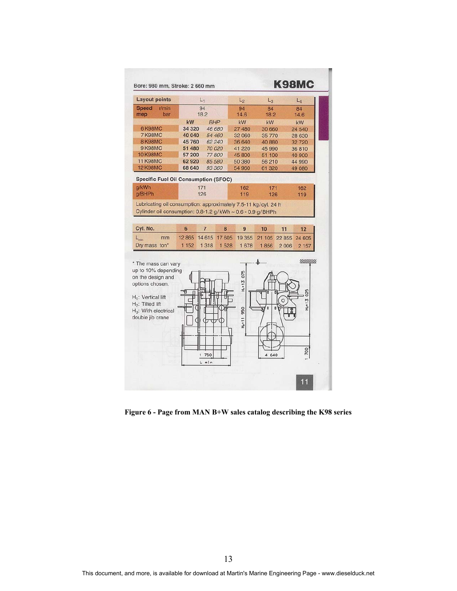

 **Figure 6 - Page from MAN B+W sales catalog describing the K98 series**